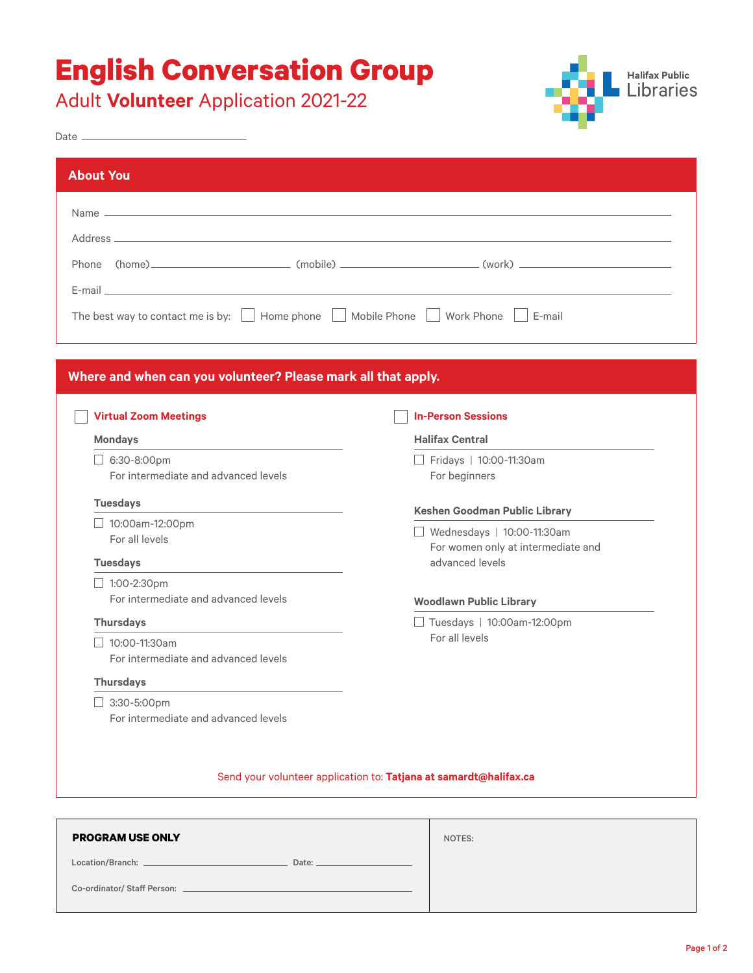# **English Conversation Group**

Adult **Volunteer** Application 2021-22



| Name $\overline{a}$ and $\overline{a}$ and $\overline{a}$ and $\overline{a}$ and $\overline{a}$ and $\overline{a}$ and $\overline{a}$ and $\overline{a}$ and $\overline{a}$ and $\overline{a}$ and $\overline{a}$ and $\overline{a}$ and $\overline{a}$ and $\overline{a}$ and $\overline{a}$ and $\overline{a}$ and $\overline{a}$ |                                                       |  |
|-------------------------------------------------------------------------------------------------------------------------------------------------------------------------------------------------------------------------------------------------------------------------------------------------------------------------------------|-------------------------------------------------------|--|
|                                                                                                                                                                                                                                                                                                                                     |                                                       |  |
|                                                                                                                                                                                                                                                                                                                                     |                                                       |  |
|                                                                                                                                                                                                                                                                                                                                     |                                                       |  |
| E-mail and the contract of the contract of the contract of the contract of the contract of the contract of the                                                                                                                                                                                                                      |                                                       |  |
| The best way to contact me is by: $\Box$ Home phone $\Box$ Mobile Phone $\Box$ Work Phone $\Box$ E-mail                                                                                                                                                                                                                             |                                                       |  |
|                                                                                                                                                                                                                                                                                                                                     |                                                       |  |
|                                                                                                                                                                                                                                                                                                                                     |                                                       |  |
| Where and when can you volunteer? Please mark all that apply.                                                                                                                                                                                                                                                                       |                                                       |  |
| <b>Virtual Zoom Meetings</b>                                                                                                                                                                                                                                                                                                        | <b>In-Person Sessions</b>                             |  |
| <b>Mondays</b>                                                                                                                                                                                                                                                                                                                      | <b>Halifax Central</b>                                |  |
| $\Box$ 6:30-8:00pm                                                                                                                                                                                                                                                                                                                  | Fridays   10:00-11:30am                               |  |
| For intermediate and advanced levels                                                                                                                                                                                                                                                                                                | For beginners                                         |  |
| <b>Tuesdays</b>                                                                                                                                                                                                                                                                                                                     | <b>Keshen Goodman Public Library</b>                  |  |
| $\Box$ 10:00am-12:00pm                                                                                                                                                                                                                                                                                                              | Wednesdays   10:00-11:30am                            |  |
| For all levels                                                                                                                                                                                                                                                                                                                      | For women only at intermediate and<br>advanced levels |  |
| <b>Tuesdays</b>                                                                                                                                                                                                                                                                                                                     |                                                       |  |
|                                                                                                                                                                                                                                                                                                                                     |                                                       |  |
| $\Box$ 1:00-2:30pm                                                                                                                                                                                                                                                                                                                  |                                                       |  |
| For intermediate and advanced levels                                                                                                                                                                                                                                                                                                | <b>Woodlawn Public Library</b>                        |  |
| <b>Thursdays</b>                                                                                                                                                                                                                                                                                                                    | □ Tuesdays   10:00am-12:00pm                          |  |
| $10:00-11:30$ am                                                                                                                                                                                                                                                                                                                    | For all levels                                        |  |
| For intermediate and advanced levels                                                                                                                                                                                                                                                                                                |                                                       |  |
| <b>Thursdays</b>                                                                                                                                                                                                                                                                                                                    |                                                       |  |
| $3:30 - 5:00 \text{pm}$                                                                                                                                                                                                                                                                                                             |                                                       |  |

| <b>PROGRAM USE ONLY</b>                                                                   | NOTES: |
|-------------------------------------------------------------------------------------------|--------|
| Date:                                                                                     |        |
| Co-ordinator/ Staff Person: Later and Contract and Contract and Contract and Contract and |        |